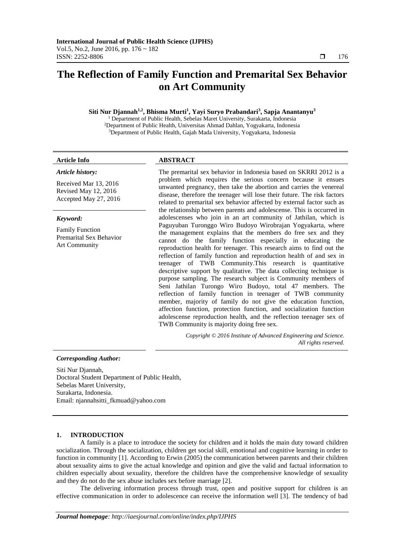# **The Reflection of Family Function and Premarital Sex Behavior on Art Community**

# **Siti Nur Djannah1,2, Bhisma Murti<sup>1</sup> , Yayi Suryo Prabandari<sup>3</sup> , Sapja Anantanyu<sup>3</sup>**

<sup>1</sup> Department of Public Health, Sebelas Maret University, Surakarta, Indonesia <sup>2</sup>Department of Public Health, Universitas Ahmad Dahlan, Yogyakarta, Indonesia <sup>3</sup>Department of Public Health, Gajah Mada University, Yogyakarta, Indonesia

#### *Article history:*

Received Mar 13, 2016 Revised May 12, 2016 Accepted May 27, 2016

# *Keyword:*

Family Function Premarital Sex Behavior Art Community

# **Article Info ABSTRACT**

The premarital sex behavior in Indonesia based on SKRRI 2012 is a problem which requires the serious concern because it ensues unwanted pregnancy, then take the abortion and carries the venereal disease, therefore the teenager will lose their future. The risk factors related to premarital sex behavior affected by external factor such as the relationship between parents and adolescense. This is occurred in adolescenses who join in an art community of Jathilan, which is Paguyuban Turonggo Wiro Budoyo Wirobrajan Yogyakarta, where the management explains that the members do free sex and they cannot do the family function especially in educating the reproduction health for teenager. This research aims to find out the reflection of family function and reproduction health of and sex in teenager of TWB Community.This research is quantitative descriptive support by qualitative. The data collecting technique is purpose sampling. The research subject is Community members of Seni Jathilan Turongo Wiro Budoyo, total 47 members. The reflection of family function in teenager of TWB community member, majority of family do not give the education function, affection function, protection function, and socialization function adolescense reproduction health, and the reflection teenager sex of TWB Community is majority doing free sex.

> *Copyright © 2016 Institute of Advanced Engineering and Science. All rights reserved.*

### *Corresponding Author:*

Siti Nur Djannah, Doctoral Student Department of Public Health, Sebelas Maret University, Surakarta, Indonesia. Email: njannahsitti\_fkmuad@yahoo.com

### **1. INTRODUCTION**

A family is a place to introduce the society for children and it holds the main duty toward children socialization. Through the socialization, children get social skill, emotional and cognitive learning in order to function in community [1]. According to Erwin (2005) the communication between parents and their children about sexuality aims to give the actual knowledge and opinion and give the valid and factual information to children especially about sexuality, therefore the children have the comprehensive knowledge of sexuality and they do not do the sex abuse includes sex before marriage [2].

The delivering information process through trust, open and positive support for children is an effective communication in order to adolescence can receive the information well [3]. The tendency of bad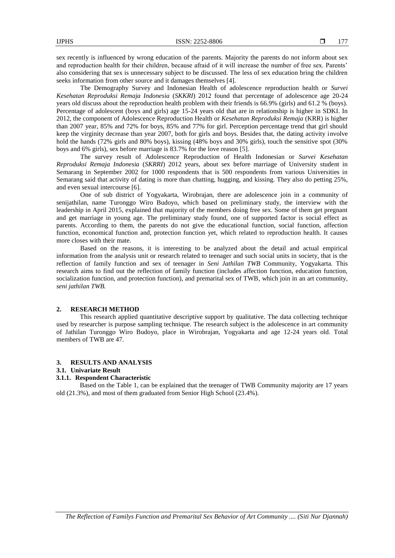sex recently is influenced by wrong education of the parents. Majority the parents do not inform about sex and reproduction health for their children, because afraid of it will increase the number of free sex. Parents' also considering that sex is unnecessary subject to be discussed. The less of sex education bring the children seeks information from other source and it damages themselves [4].

The Demography Survey and Indonesian Health of adolescence reproduction health or *Survei Kesehatan Reproduksi Remaja Indonesia* (*SKKRI*) 2012 found that percentage of adolescence age 20-24 years old discuss about the reproduction health problem with their friends is 66.9% (girls) and 61.2 % (boys). Percentage of adolescent (boys and girls) age 15-24 years old that are in relationship is higher in SDKI. In 2012, the component of Adolescence Reproduction Health or *Kesehatan Reproduksi Remaja* (KRR) is higher than 2007 year, 85% and 72% for boys, 85% and 77% for girl. Perception percentage trend that girl should keep the virginity decrease than year 2007, both for girls and boys. Besides that, the dating activity involve hold the hands (72% girls and 80% boys), kissing (48% boys and 30% girls), touch the sensitive spot (30% boys and 6% girls), sex before marriage is 83.7% for the love reason [5].

The survey result of Adolescence Reproduction of Health Indonesian or *Survei Kesehatan Reproduksi Remaja Indonesia* (*SKRRI*) 2012 years, about sex before marriage of University student in Semarang in September 2002 for 1000 respondents that is 500 respondents from various Universities in Semarang said that activity of dating is more than chatting, hugging, and kissing. They also do petting 25%, and even sexual intercourse [6].

One of sub district of Yogyakarta, Wirobrajan, there are adolescence join in a community of senijathilan, name Turonggo Wiro Budoyo, which based on preliminary study, the interview with the leadership in April 2015, explained that majority of the members doing free sex. Some of them get pregnant and get marriage in young age. The preliminary study found, one of supported factor is social effect as parents. According to them, the parents do not give the educational function, social function, affection function, economical function and, protection function yet, which related to reproduction health. It causes more closes with their mate.

Based on the reasons, it is interesting to be analyzed about the detail and actual empirical information from the analysis unit or research related to teenager and such social units in society, that is the reflection of family function and sex of teenager in *Seni Jathilan TWB* Community, Yogyakarta. This research aims to find out the reflection of family function (includes affection function, education function, socialization function, and protection function), and premarital sex of TWB, which join in an art community, *seni jathilan TWB.*

#### **2. RESEARCH METHOD**

This research applied quantitative descriptive support by qualitative. The data collecting technique used by researcher is purpose sampling technique. The research subject is the adolescence in art community of Jathilan Turonggo Wiro Budoyo, place in Wirobrajan, Yogyakarta and age 12-24 years old. Total members of TWB are 47.

#### **3. RESULTS AND ANALYSIS**

#### **3.1. Univariate Result**

#### **3.1.1. Respondent Characteristic**

Based on the Table 1, can be explained that the teenager of TWB Community majority are 17 years old (21.3%), and most of them graduated from Senior High School (23.4%).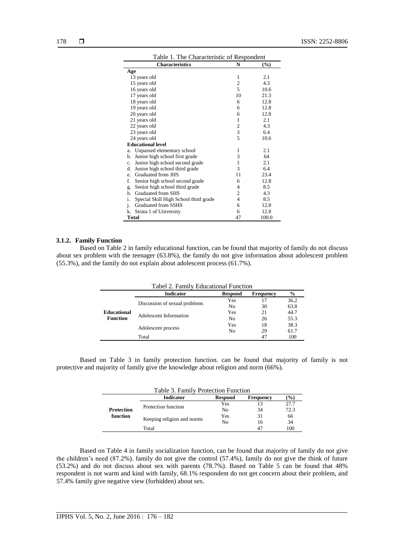| Table 1. The Characteristic of Respondent         |                |        |  |  |  |
|---------------------------------------------------|----------------|--------|--|--|--|
| <b>Characteristics</b>                            | N              | $(\%)$ |  |  |  |
| Age                                               |                |        |  |  |  |
| 13 years old                                      | 1              | 2.1    |  |  |  |
| 15 years old                                      | $\overline{2}$ | 4.3    |  |  |  |
| 16 years old                                      | 5              | 10.6   |  |  |  |
| 17 years old                                      | 10             | 21.3   |  |  |  |
| 18 years old                                      | 6              | 12.8   |  |  |  |
| 19 years old                                      | 6              | 12.8   |  |  |  |
| 20 years old                                      | 6              | 12.8   |  |  |  |
| 21 years old                                      | 1              | 2.1    |  |  |  |
| 22 years old                                      | $\overline{c}$ | 4.3    |  |  |  |
| 23 years old                                      | $\overline{3}$ | 6.4    |  |  |  |
| 24 years old                                      | 5              | 10.6   |  |  |  |
| <b>Educational level</b>                          |                |        |  |  |  |
| Unpassed elementary school<br>a.                  | 1              | 2.1    |  |  |  |
| Junior high school first grade<br>b.              | 3              | 64     |  |  |  |
| Junior high school second grade<br>$\mathbf{c}$ . | 1              | 2.1    |  |  |  |
| Junior high school third grade<br>d.              | 3              | 6.4    |  |  |  |
| Graduated from JHS<br>e.                          | 11             | 23.4   |  |  |  |
| f.<br>Senior high school second grade             | 6              | 12.8   |  |  |  |
| Senior high school third grade<br>g.              | 4              | 8.5    |  |  |  |
| Graduated from SHS<br>h.                          | $\overline{2}$ | 4.3    |  |  |  |
| i.<br>Special Skill High School third grade       | $\overline{4}$ | 8.5    |  |  |  |
| Graduated from SSHS<br>j.                         | 6              | 12.8   |  |  |  |
| k.<br>Strata 1 of University                      | 6              | 12.8   |  |  |  |
| <b>Total</b>                                      | 47             | 100.0  |  |  |  |

# **3.1.2. Family Function**

Based on Table 2 in family educational function, can be found that majority of family do not discuss about sex problem with the teenager (63.8%), the family do not give information about adolescent problem (55.3%), and the family do not explain about adolescent process (61.7%).

|                    | Tabel 2. Family Educational Function |                |                  |               |
|--------------------|--------------------------------------|----------------|------------------|---------------|
|                    | <b>Indicator</b>                     | <b>Respond</b> | <b>Frequency</b> | $\frac{6}{9}$ |
|                    | Discussion of sexual problems        | Yes            | 17               | 36.2          |
|                    |                                      | No             | 30               | 63.8          |
| <b>Educational</b> | Adolescent Information               | Yes            | 21               | 44.7          |
| <b>Function</b>    |                                      | No             | 26               | 55.3          |
|                    | Adolescent process                   | Yes            | 18<br>29         | 38.3          |
|                    |                                      | No             |                  | 61.7          |
|                    | Total                                |                | 47               | 100           |

Based on Table 3 in family protection function. can be found that majority of family is not protective and majority of family give the knowledge about religion and norm (66%).

|                               | Table 3. Family Protection Function |                |                  |        |
|-------------------------------|-------------------------------------|----------------|------------------|--------|
|                               | <b>Indicator</b>                    | <b>Respond</b> | <b>Frequency</b> | $(\%)$ |
|                               | Protection function                 | Yes            |                  | 27.7   |
| <b>Protection</b><br>function |                                     | No             | 34               | 72.3   |
|                               | Keeping religion and norms          | Yes            | 31               | 66     |
|                               |                                     | No             | 16               | 34     |
|                               | Total                               |                | 47               | 100    |

Based on Table 4 in family socialization function, can be found that majority of family do not give the children's need (87.2%). family do not give the control (57.4%), family do not give the think of future (53.2%) and do not discuss about sex with parents (78.7%). Based on Table 5 can be found that 48% respondent is not warm and kind with family, 68.1% respondent do not get concern about their problem, and 57.4% family give negative view (forbidden) about sex.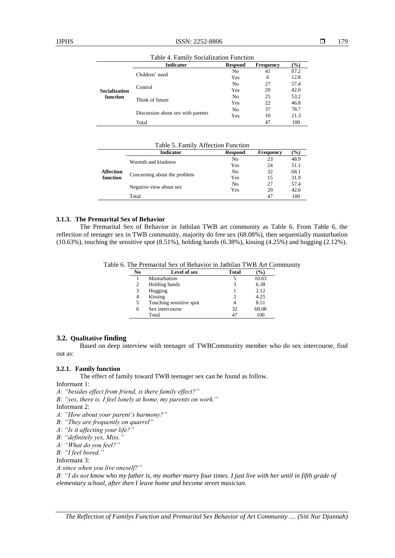|                      | <b>Indicator</b>                  | <b>Respond</b> | <b>Frequency</b> | $(\%)$                                                      |
|----------------------|-----------------------------------|----------------|------------------|-------------------------------------------------------------|
|                      | Children' need                    | No             | 41               | 87.2                                                        |
|                      |                                   | Yes            | 6                | 12.8<br>57.4<br>42.6<br>53.2<br>46.8<br>78.7<br>21.3<br>100 |
|                      |                                   | No             | 27               |                                                             |
| <b>Socialization</b> | Control                           | Yes            | 20               |                                                             |
| function             |                                   | No             | 25               |                                                             |
|                      | Think of future                   | Yes            | 22               |                                                             |
|                      |                                   | No             | 37               |                                                             |
|                      | Discussion about sex with parents | Yes            | 10               |                                                             |
|                      | Total                             | 47             |                  |                                                             |

Table 4. Family Socialization Function

Table 5. Family Affection Function

|                  | <b>Indicator</b>             | <b>Respond</b> | <b>Frequency</b> | (9/0)               |
|------------------|------------------------------|----------------|------------------|---------------------|
|                  | Warmth and kindness          | No             | 23               | 48.9                |
|                  |                              | Yes            | 24               | 51.1                |
| <b>Affection</b> | Concerning about the problem | N <sub>0</sub> | 32               | 68.1                |
| function         |                              | Yes            | 15               | 31.9                |
|                  | Negative view about sex      | N <sub>0</sub> | 27               | 57.4<br>42.6<br>100 |
|                  |                              | Yes            | 20               |                     |
|                  | Total                        |                | 47               |                     |
|                  |                              |                |                  |                     |

#### **3.1.3. The Premarital Sex of Behavior**

The Premarital Sex of Behavior in Jathilan TWB art community as Table 6. From Table 6, the reflection of teenager sex in TWB community, majority do free sex (68.08%), then sequentially masturbation (10.63%), touching the sensitive spot (8.51%), holding hands (6.38%), kissing (4.25%) and hugging (2.12%).

Table 6. The Premarital Sex of Behavior in Jathilan TWB Art Community

| No | Level of sex            | Total | $\%$  |
|----|-------------------------|-------|-------|
|    | Masturbation            |       | 10.63 |
| 2  | Holding hands           |       | 6.38  |
| 3  | Hugging                 |       | 2.12  |
|    | Kissing                 |       | 4.25  |
| 5  | Touching sensitive spot |       | 8.51  |
| 6  | Sex intercourse         | 32    | 68.08 |
|    | Total                   |       | 100   |

# **3.2. Qualitative finding**

Based on deep interview with teenager of TWBCommunity member who do sex intercourse, find out as:

# **3.2.1. Family function**

The effect of family toward TWB teenager sex can be found as follow.

## Informant 1:

*A: "besides effect from friend, is there family effect?"*

*B: "yes, there is. I feel lonely at home, my parents on work."*

Informant 2:

- *A: "How about your parent's harmony?"*
- *B: "They are frequently on quarrel"*
- *A: "Is it affecting your life?"*
- *B: "definitely yes, Miss."*
- *A: "What do you feel?"*
- *B: "I feel bored."*

Informant 3:

*A:since when you live oneself?"*

*B: "I do not know who my father is, my mother marry four times. I just live with her until in fifth grade of elementary school, after then I leave home and become street musician.*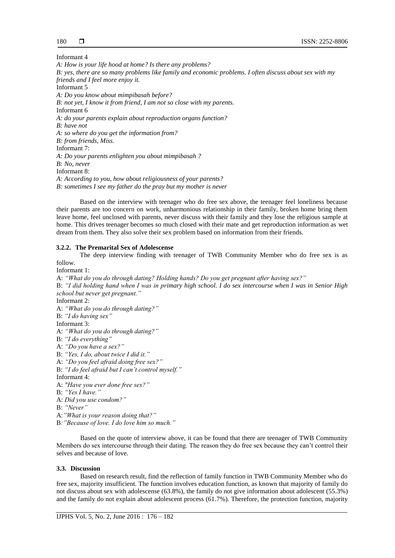Informant 4

*A: How is your life hood at home? Is there any problems? B: yes, there are so many problems like family and economic problems. I often discuss about sex with my friends and I feel more enjoy it.* Informant 5 *A: Do you know about mimpibasah before? B: not yet, I know it from friend, I am not so close with my parents.* Informant 6 *A: do your parents explain about reproduction organs function? B: have not A: so where do you get the information from? B: from friends, Miss.* Informant 7: *A: Do your parents enlighten you about mimpibasah ? B: No, never* Informant 8: *A: According to you, how about religiousness of your parents? B: sometimes I see my father do the pray but my mother is never*

Based on the interview with teenager who do free sex above, the teenager feel loneliness because their parents are too concern on work, unharmonious relationship in their family, broken home bring them leave home, feel unclosed with parents, never discuss with their family and they lose the religious sample at home. This drives teenager becomes so much closed with their mate and get reproduction information as wet dream from them. They also solve their sex problem based on information from their friends.

# **3.2.2. The Premarital Sex of Adolescense**

The deep interview finding with teenager of TWB Community Member who do free sex is as follow.

Informant 1:

A: *"What do you do through dating? Holding hands? Do you get pregnant after having sex?"* B: *"I did holding hand when I was in primary high school. I do sex intercourse when I was in Senior High school but never get pregnant."*

Informant 2:

A: *"What do you do through dating?"*

B: *"I do having sex"*

Informant 3:

A: *"What do you do through dating?"*

B: *"I do everything"*

A: *"Do you have a sex?"*

B: *"Yes, I do, about twice I did it."*

A: *"Do you feel afraid doing free sex?"*

B: *"I do feel afraid but I can't control myself."*

Informant 4:

A: *"Have you ever done free sex?"*

B: *"Yes I have."*

A: *Did you use condom?"*

B: *"Never"*

A:*"What is your reason doing that?"*

B*:"Because of love. I do love him so much."*

Based on the quote of interview above, it can be found that there are teenager of TWB Community Members do sex intercourse through their dating. The reason they do free sex because they can't control their selves and because of love.

# **3.3. Discussion**

Based on research result, find the reflection of family function in TWB Community Member who do free sex, majority insufficient. The function involves education function, as known that majority of family do not discuss about sex with adolescense (63.8%), the family do not give information about adolescent (55.3%) and the family do not explain about adolescent process (61.7%). Therefore, the protection function, majority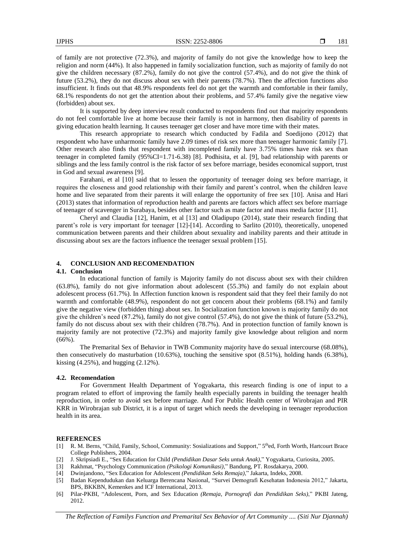of family are not protective (72.3%), and majority of family do not give the knowledge how to keep the religion and norm (44%). It also happened in family socialization function, such as majority of family do not give the children necessary (87.2%), family do not give the control (57.4%), and do not give the think of future (53.2%), they do not discuss about sex with their parents (78.7%). Then the affection functions also insufficient. It finds out that 48.9% respondents feel do not get the warmth and comfortable in their family, 68.1% respondents do not get the attention about their problems, and 57.4% family give the negative view (forbidden) about sex.

It is supported by deep interview result conducted to respondents find out that majority respondents do not feel comfortable live at home because their family is not in harmony, then disability of parents in giving education health learning. It causes teenager get closer and have more time with their mates.

This research appropriate to research which conducted by Fadila and Soedijono (2012) that respondent who have unharmonic family have 2.09 times of risk sex more than teenager harmonic family [7]. Other research also finds that respondent with incompleted family have 3.75% times have risk sex than teenager in completed family (95%CI=1.71-6.38) [8]. Podhisita, et al. [9], bad relationship with parents or siblings and the less family control is the risk factor of sex before marriage, besides economical support, trust in God and sexual awareness [9].

Farahani, et al [10] said that to lessen the opportunity of teenager doing sex before marriage, it requires the closeness and good relationship with their family and parent's control, when the children leave home and live separated from their parents it will enlarge the opportunity of free sex [10]. Anisa and Hari (2013) states that information of reproduction health and parents are factors which affect sex before marriage of teenager of scavenger in Surabaya, besides other factor such as mate factor and mass media factor [11].

Cheryl and Claudia [12], Hanim, et al [13] and Oladipupo (2014), state their research finding that parent's role is very important for teenager [12]-[14]. According to Sarlito (2010), theoretically, unopened communication between parents and their children about sexuality and inability parents and their attitude in discussing about sex are the factors influence the teenager sexual problem [15].

#### **4. CONCLUSION AND RECOMENDATION**

#### **4.1. Conclusion**

In educational function of family is Majority family do not discuss about sex with their children (63.8%), family do not give information about adolescent (55.3%) and family do not explain about adolescent process (61.7%). In Affection function known is respondent said that they feel their family do not warmth and comfortable (48.9%), respondent do not get concern about their problems (68.1%) and family give the negative view (forbidden thing) about sex. In Socialization function known is majority family do not give the children's need (87.2%), family do not give control (57.4%), do not give the think of future (53.2%), family do not discuss about sex with their children (78.7%). And in protection function of family known is majority family are not protective (72.3%) and majority family give knowledge about religion and norm (66%).

The Premarital Sex of Behavior in TWB Community majority have do sexual intercourse (68.08%), then consecutively do masturbation (10.63%), touching the sensitive spot (8.51%), holding hands (6.38%), kissing  $(4.25\%)$ , and hugging  $(2.12\%)$ .

#### **4.2. Recomendation**

For Government Health Department of Yogyakarta, this research finding is one of input to a program related to effort of improving the family health especially parents in building the teenager health reproduction, in order to avoid sex before marriage. And For Public Health center of Wirobrajan and PIR KRR in Wirobrajan sub District, it is a input of target which needs the developing in teenager reproduction health in its area.

#### **REFERENCES**

- [1] R. M. Berns, "Child, Family, School, Community: Sosializations and Support," 5<sup>th</sup>ed, Forth Worth, Hartcourt Brace College Publishers, 2004.
- [2] J. Skripsiadi E., "Sex Education for Child *(Pendidikan Dasar Seks untuk Anak)*," Yogyakarta, Curiosita, 2005.
- [3] Rakhmat, "Psychology Communication *(Psikologi Komunikasi)*," Bandung, PT. Rosdakarya, 2000.
- [4] Dwinjandono, "Sex Education for Adolescent *(Pendidikan Seks Remaja)*," Jakarta, Indeks, 2008.
- [5] Badan Kependudukan dan Keluarga Berencana Nasional, "Survei Demografi Kesehatan Indonesia 2012," Jakarta, BPS, BKKBN, Kemenkes and ICF International, 2013.
- [6] Pilar-PKBI, "Adolescent, Porn, and Sex Education *(Remaja, Pornografi dan Pendidikan Seks)*," PKBI Jateng, 2012.

*The Reflection of Familys Function and Premarital Sex Behavior of Art Community .... (Siti Nur Djannah)*